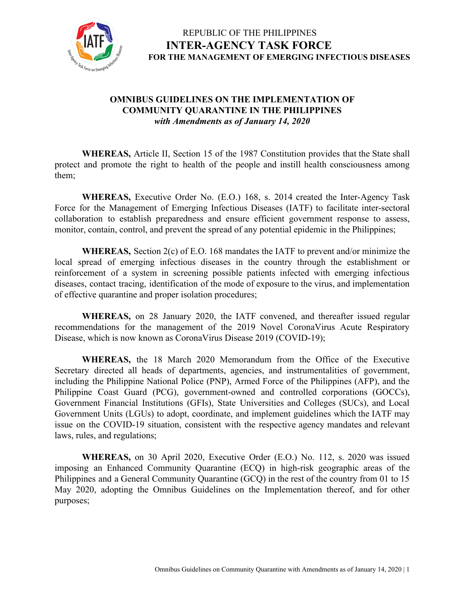

#### **OMNIBUS GUIDELINES ON THE IMPLEMENTATION OF COMMUNITY QUARANTINE IN THE PHILIPPINES** *with Amendments as of January 14, 2020*

**WHEREAS,** Article II, Section 15 of the 1987 Constitution provides that the State shall protect and promote the right to health of the people and instill health consciousness among them;

**WHEREAS,** Executive Order No. (E.O.) 168, s. 2014 created the Inter-Agency Task Force for the Management of Emerging Infectious Diseases (IATF) to facilitate inter-sectoral collaboration to establish preparedness and ensure efficient government response to assess, monitor, contain, control, and prevent the spread of any potential epidemic in the Philippines;

**WHEREAS,** Section 2(c) of E.O. 168 mandates the IATF to prevent and/or minimize the local spread of emerging infectious diseases in the country through the establishment or reinforcement of a system in screening possible patients infected with emerging infectious diseases, contact tracing, identification of the mode of exposure to the virus, and implementation of effective quarantine and proper isolation procedures;

**WHEREAS,** on 28 January 2020, the IATF convened, and thereafter issued regular recommendations for the management of the 2019 Novel CoronaVirus Acute Respiratory Disease, which is now known as CoronaVirus Disease 2019 (COVID-19);

**WHEREAS,** the 18 March 2020 Memorandum from the Office of the Executive Secretary directed all heads of departments, agencies, and instrumentalities of government, including the Philippine National Police (PNP), Armed Force of the Philippines (AFP), and the Philippine Coast Guard (PCG), government-owned and controlled corporations (GOCCs), Government Financial Institutions (GFIs), State Universities and Colleges (SUCs), and Local Government Units (LGUs) to adopt, coordinate, and implement guidelines which the IATF may issue on the COVID-19 situation, consistent with the respective agency mandates and relevant laws, rules, and regulations;

**WHEREAS,** on 30 April 2020, Executive Order (E.O.) No. 112, s. 2020 was issued imposing an Enhanced Community Quarantine (ECQ) in high-risk geographic areas of the Philippines and a General Community Quarantine (GCQ) in the rest of the country from 01 to 15 May 2020, adopting the Omnibus Guidelines on the Implementation thereof, and for other purposes;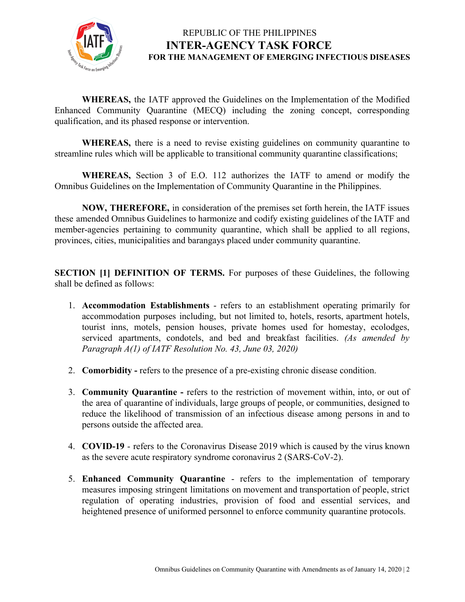

**WHEREAS,** the IATF approved the Guidelines on the Implementation of the Modified Enhanced Community Quarantine (MECQ) including the zoning concept, corresponding qualification, and its phased response or intervention.

**WHEREAS,** there is a need to revise existing guidelines on community quarantine to streamline rules which will be applicable to transitional community quarantine classifications;

**WHEREAS,** Section 3 of E.O. 112 authorizes the IATF to amend or modify the Omnibus Guidelines on the Implementation of Community Quarantine in the Philippines.

**NOW, THEREFORE,** in consideration of the premises set forth herein, the IATF issues these amended Omnibus Guidelines to harmonize and codify existing guidelines of the IATF and member-agencies pertaining to community quarantine, which shall be applied to all regions, provinces, cities, municipalities and barangays placed under community quarantine.

**SECTION [1] DEFINITION OF TERMS.** For purposes of these Guidelines, the following shall be defined as follows:

- 1. **Accommodation Establishments** refers to an establishment operating primarily for accommodation purposes including, but not limited to, hotels, resorts, apartment hotels, tourist inns, motels, pension houses, private homes used for homestay, ecolodges, serviced apartments, condotels, and bed and breakfast facilities. *(As amended by Paragraph A(1) of IATF Resolution No. 43, June 03, 2020)*
- 2. **Comorbidity** refers to the presence of a pre-existing chronic disease condition.
- 3. **Community Quarantine -** refers to the restriction of movement within, into, or out of the area of quarantine of individuals, large groups of people, or communities, designed to reduce the likelihood of transmission of an infectious disease among persons in and to persons outside the affected area.
- 4. **COVID-19** refers to the Coronavirus Disease 2019 which is caused by the virus known as the severe acute respiratory syndrome coronavirus 2 (SARS-CoV-2).
- 5. **Enhanced Community Quarantine** refers to the implementation of temporary measures imposing stringent limitations on movement and transportation of people, strict regulation of operating industries, provision of food and essential services, and heightened presence of uniformed personnel to enforce community quarantine protocols.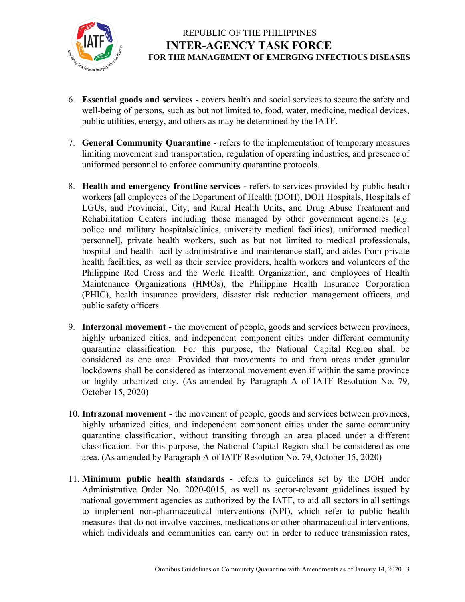

- 6. **Essential goods and services -** covers health and social services to secure the safety and well-being of persons, such as but not limited to, food, water, medicine, medical devices, public utilities, energy, and others as may be determined by the IATF.
- 7. **General Community Quarantine** refers to the implementation of temporary measures limiting movement and transportation, regulation of operating industries, and presence of uniformed personnel to enforce community quarantine protocols.
- 8. **Health and emergency frontline services -** refers to services provided by public health workers [all employees of the Department of Health (DOH), DOH Hospitals, Hospitals of LGUs, and Provincial, City, and Rural Health Units, and Drug Abuse Treatment and Rehabilitation Centers including those managed by other government agencies (*e.g.* police and military hospitals/clinics, university medical facilities), uniformed medical personnel], private health workers, such as but not limited to medical professionals, hospital and health facility administrative and maintenance staff, and aides from private health facilities, as well as their service providers, health workers and volunteers of the Philippine Red Cross and the World Health Organization, and employees of Health Maintenance Organizations (HMOs), the Philippine Health Insurance Corporation (PHIC), health insurance providers, disaster risk reduction management officers, and public safety officers.
- 9. **Interzonal movement -** the movement of people, goods and services between provinces, highly urbanized cities, and independent component cities under different community quarantine classification. For this purpose, the National Capital Region shall be considered as one area. Provided that movements to and from areas under granular lockdowns shall be considered as interzonal movement even if within the same province or highly urbanized city. (As amended by Paragraph A of IATF Resolution No. 79, October 15, 2020)
- 10. **Intrazonal movement -** the movement of people, goods and services between provinces, highly urbanized cities, and independent component cities under the same community quarantine classification, without transiting through an area placed under a different classification. For this purpose, the National Capital Region shall be considered as one area. (As amended by Paragraph A of IATF Resolution No. 79, October 15, 2020)
- 11. **Minimum public health standards** refers to guidelines set by the DOH under Administrative Order No. 2020-0015, as well as sector-relevant guidelines issued by national government agencies as authorized by the IATF, to aid all sectors in all settings to implement non-pharmaceutical interventions (NPI), which refer to public health measures that do not involve vaccines, medications or other pharmaceutical interventions, which individuals and communities can carry out in order to reduce transmission rates,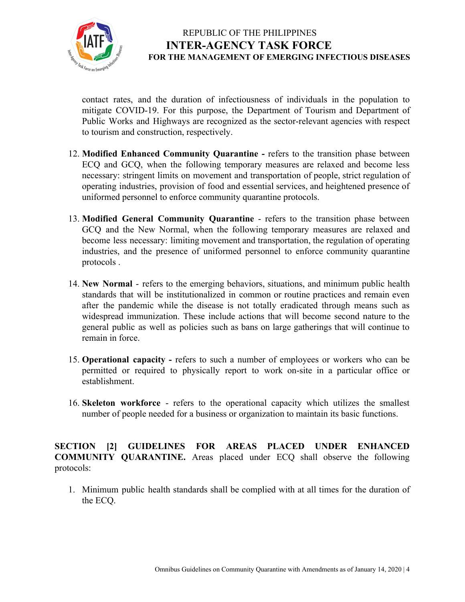

contact rates, and the duration of infectiousness of individuals in the population to mitigate COVID-19. For this purpose, the Department of Tourism and Department of Public Works and Highways are recognized as the sector-relevant agencies with respect to tourism and construction, respectively.

- 12. **Modified Enhanced Community Quarantine -** refers to the transition phase between ECQ and GCQ, when the following temporary measures are relaxed and become less necessary: stringent limits on movement and transportation of people, strict regulation of operating industries, provision of food and essential services, and heightened presence of uniformed personnel to enforce community quarantine protocols.
- 13. **Modified General Community Quarantine** refers to the transition phase between GCQ and the New Normal, when the following temporary measures are relaxed and become less necessary: limiting movement and transportation, the regulation of operating industries, and the presence of uniformed personnel to enforce community quarantine protocols .
- 14. **New Normal** refers to the emerging behaviors, situations, and minimum public health standards that will be institutionalized in common or routine practices and remain even after the pandemic while the disease is not totally eradicated through means such as widespread immunization. These include actions that will become second nature to the general public as well as policies such as bans on large gatherings that will continue to remain in force.
- 15. **Operational capacity -** refers to such a number of employees or workers who can be permitted or required to physically report to work on-site in a particular office or establishment.
- 16. **Skeleton workforce** refers to the operational capacity which utilizes the [smallest](https://dictionary.cambridge.org/us/dictionary/english/small) [number](https://dictionary.cambridge.org/us/dictionary/english/number) of [people](https://dictionary.cambridge.org/us/dictionary/english/people) [needed](https://dictionary.cambridge.org/us/dictionary/english/needed) for a [business](https://dictionary.cambridge.org/us/dictionary/english/business) or [organization](https://dictionary.cambridge.org/us/dictionary/english/organization) to maintain its basic functions.

**SECTION [2] GUIDELINES FOR AREAS PLACED UNDER ENHANCED COMMUNITY QUARANTINE.** Areas placed under ECQ shall observe the following protocols:

1. Minimum public health standards shall be complied with at all times for the duration of the ECQ.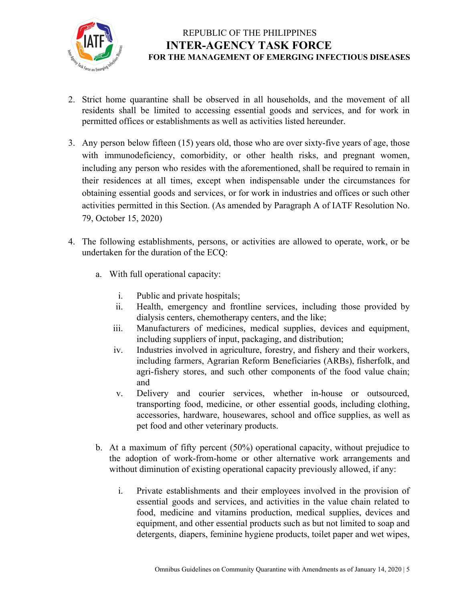

- 2. Strict home quarantine shall be observed in all households, and the movement of all residents shall be limited to accessing essential goods and services, and for work in permitted offices or establishments as well as activities listed hereunder.
- 3. Any person below fifteen (15) years old, those who are over sixty-five years of age, those with immunodeficiency, comorbidity, or other health risks, and pregnant women, including any person who resides with the aforementioned, shall be required to remain in their residences at all times, except when indispensable under the circumstances for obtaining essential goods and services, or for work in industries and offices or such other activities permitted in this Section. (As amended by Paragraph A of IATF Resolution No. 79, October 15, 2020)
- 4. The following establishments, persons, or activities are allowed to operate, work, or be undertaken for the duration of the ECQ:
	- a. With full operational capacity:
		- i. Public and private hospitals;
		- ii. Health, emergency and frontline services, including those provided by dialysis centers, chemotherapy centers, and the like;
		- iii. Manufacturers of medicines, medical supplies, devices and equipment, including suppliers of input, packaging, and distribution;
		- iv. Industries involved in agriculture, forestry, and fishery and their workers, including farmers, Agrarian Reform Beneficiaries (ARBs), fisherfolk, and agri-fishery stores, and such other components of the food value chain; and
		- v. Delivery and courier services, whether in-house or outsourced, transporting food, medicine, or other essential goods, including clothing, accessories, hardware, housewares, school and office supplies, as well as pet food and other veterinary products.
	- b. At a maximum of fifty percent (50%) operational capacity, without prejudice to the adoption of work-from-home or other alternative work arrangements and without diminution of existing operational capacity previously allowed, if any:
		- i. Private establishments and their employees involved in the provision of essential goods and services, and activities in the value chain related to food, medicine and vitamins production, medical supplies, devices and equipment, and other essential products such as but not limited to soap and detergents, diapers, feminine hygiene products, toilet paper and wet wipes,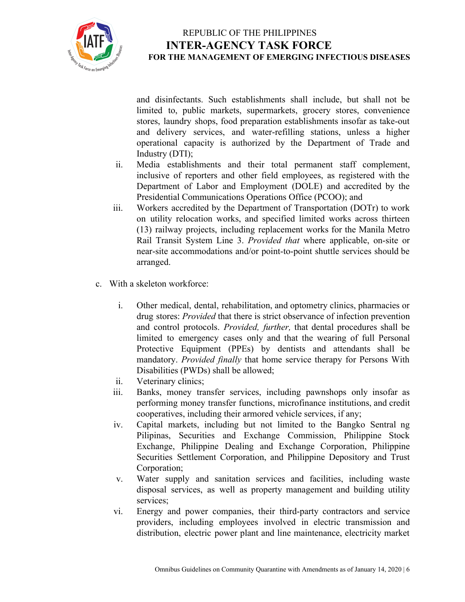

and disinfectants. Such establishments shall include, but shall not be limited to, public markets, supermarkets, grocery stores, convenience stores, laundry shops, food preparation establishments insofar as take-out and delivery services, and water-refilling stations, unless a higher operational capacity is authorized by the Department of Trade and Industry (DTI);

- ii. Media establishments and their total permanent staff complement, inclusive of reporters and other field employees, as registered with the Department of Labor and Employment (DOLE) and accredited by the Presidential Communications Operations Office (PCOO); and
- iii. Workers accredited by the Department of Transportation (DOTr) to work on utility relocation works, and specified limited works across thirteen (13) railway projects, including replacement works for the Manila Metro Rail Transit System Line 3. *Provided that* where applicable, on-site or near-site accommodations and/or point-to-point shuttle services should be arranged.
- c. With a skeleton workforce:
	- i. Other medical, dental, rehabilitation, and optometry clinics, pharmacies or drug stores: *Provided* that there is strict observance of infection prevention and control protocols. *Provided, further,* that dental procedures shall be limited to emergency cases only and that the wearing of full Personal Protective Equipment (PPEs) by dentists and attendants shall be mandatory. *Provided finally* that home service therapy for Persons With Disabilities (PWDs) shall be allowed;
	- ii. Veterinary clinics;
	- iii. Banks, money transfer services, including pawnshops only insofar as performing money transfer functions, microfinance institutions, and credit cooperatives, including their armored vehicle services, if any;
	- iv. Capital markets, including but not limited to the Bangko Sentral ng Pilipinas, Securities and Exchange Commission, Philippine Stock Exchange, Philippine Dealing and Exchange Corporation, Philippine Securities Settlement Corporation, and Philippine Depository and Trust Corporation;
	- v. Water supply and sanitation services and facilities, including waste disposal services, as well as property management and building utility services;
	- vi. Energy and power companies, their third-party contractors and service providers, including employees involved in electric transmission and distribution, electric power plant and line maintenance, electricity market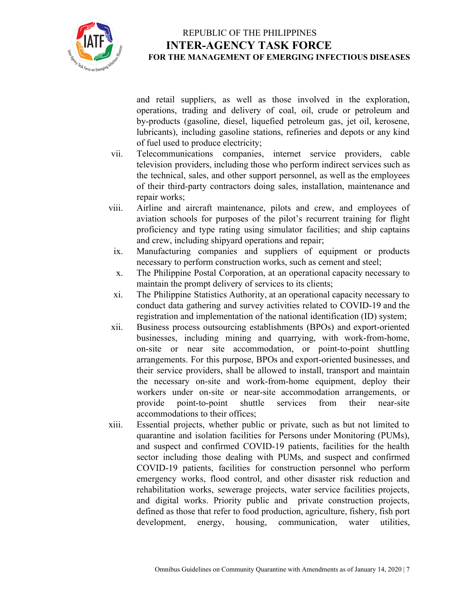

and retail suppliers, as well as those involved in the exploration, operations, trading and delivery of coal, oil, crude or petroleum and by-products (gasoline, diesel, liquefied petroleum gas, jet oil, kerosene, lubricants), including gasoline stations, refineries and depots or any kind of fuel used to produce electricity;

- vii. Telecommunications companies, internet service providers, cable television providers, including those who perform indirect services such as the technical, sales, and other support personnel, as well as the employees of their third-party contractors doing sales, installation, maintenance and repair works;
- viii. Airline and aircraft maintenance, pilots and crew, and employees of aviation schools for purposes of the pilot's recurrent training for flight proficiency and type rating using simulator facilities; and ship captains and crew, including shipyard operations and repair;
- ix. Manufacturing companies and suppliers of equipment or products necessary to perform construction works, such as cement and steel;
- x. The Philippine Postal Corporation, at an operational capacity necessary to maintain the prompt delivery of services to its clients;
- xi. The Philippine Statistics Authority, at an operational capacity necessary to conduct data gathering and survey activities related to COVID-19 and the registration and implementation of the national identification (ID) system;
- xii. Business process outsourcing establishments (BPOs) and export-oriented businesses, including mining and quarrying, with work-from-home, on-site or near site accommodation, or point-to-point shuttling arrangements. For this purpose, BPOs and export-oriented businesses, and their service providers, shall be allowed to install, transport and maintain the necessary on-site and work-from-home equipment, deploy their workers under on-site or near-site accommodation arrangements, or provide point-to-point shuttle services from their near-site accommodations to their offices;
- xiii. Essential projects, whether public or private, such as but not limited to quarantine and isolation facilities for Persons under Monitoring (PUMs), and suspect and confirmed COVID-19 patients, facilities for the health sector including those dealing with PUMs, and suspect and confirmed COVID-19 patients, facilities for construction personnel who perform emergency works, flood control, and other disaster risk reduction and rehabilitation works, sewerage projects, water service facilities projects, and digital works. Priority public and private construction projects, defined as those that refer to food production, agriculture, fishery, fish port development, energy, housing, communication, water utilities,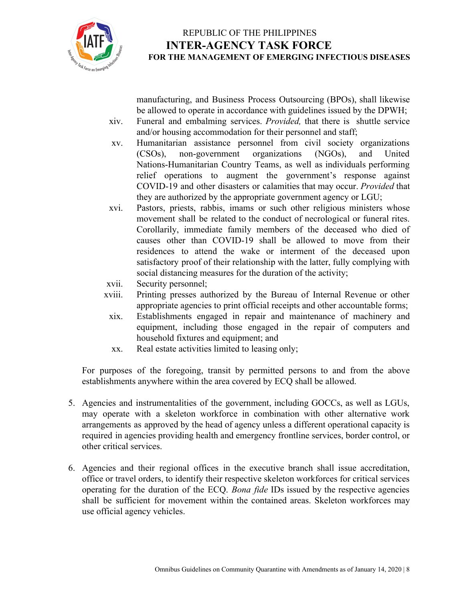

manufacturing, and Business Process Outsourcing (BPOs), shall likewise be allowed to operate in accordance with guidelines issued by the DPWH;

- xiv. Funeral and embalming services. *Provided,* that there is shuttle service and/or housing accommodation for their personnel and staff;
- xv. Humanitarian assistance personnel from civil society organizations (CSOs), non-government organizations (NGOs), and United Nations-Humanitarian Country Teams, as well as individuals performing relief operations to augment the government's response against COVID-19 and other disasters or calamities that may occur. *Provided* that they are authorized by the appropriate government agency or LGU;
- xvi. Pastors, priests, rabbis, imams or such other religious ministers whose movement shall be related to the conduct of necrological or funeral rites. Corollarily, immediate family members of the deceased who died of causes other than COVID-19 shall be allowed to move from their residences to attend the wake or interment of the deceased upon satisfactory proof of their relationship with the latter, fully complying with social distancing measures for the duration of the activity;
- xvii. Security personnel;
- xviii. Printing presses authorized by the Bureau of Internal Revenue or other appropriate agencies to print official receipts and other accountable forms;
- xix. Establishments engaged in repair and maintenance of machinery and equipment, including those engaged in the repair of computers and household fixtures and equipment; and
- xx. Real estate activities limited to leasing only;

For purposes of the foregoing, transit by permitted persons to and from the above establishments anywhere within the area covered by ECQ shall be allowed.

- 5. Agencies and instrumentalities of the government, including GOCCs, as well as LGUs, may operate with a skeleton workforce in combination with other alternative work arrangements as approved by the head of agency unless a different operational capacity is required in agencies providing health and emergency frontline services, border control, or other critical services.
- 6. Agencies and their regional offices in the executive branch shall issue accreditation, office or travel orders, to identify their respective skeleton workforces for critical services operating for the duration of the ECQ. *Bona fide* IDs issued by the respective agencies shall be sufficient for movement within the contained areas. Skeleton workforces may use official agency vehicles.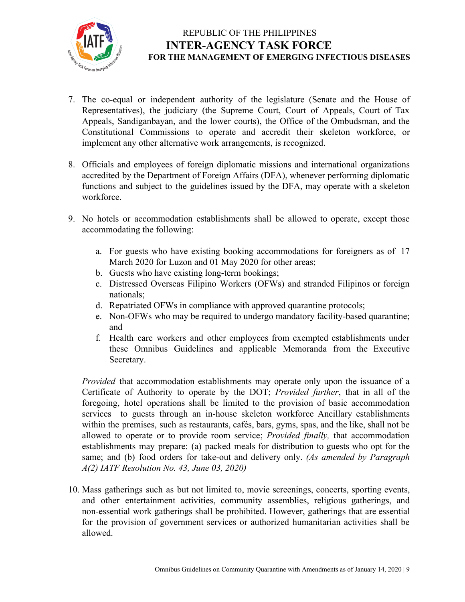

- 7. The co-equal or independent authority of the legislature (Senate and the House of Representatives), the judiciary (the Supreme Court, Court of Appeals, Court of Tax Appeals, Sandiganbayan, and the lower courts), the Office of the Ombudsman, and the Constitutional Commissions to operate and accredit their skeleton workforce, or implement any other alternative work arrangements, is recognized.
- 8. Officials and employees of foreign diplomatic missions and international organizations accredited by the Department of Foreign Affairs (DFA), whenever performing diplomatic functions and subject to the guidelines issued by the DFA, may operate with a skeleton workforce.
- 9. No hotels or accommodation establishments shall be allowed to operate, except those accommodating the following:
	- a. For guests who have existing booking accommodations for foreigners as of 17 March 2020 for Luzon and 01 May 2020 for other areas;
	- b. Guests who have existing long-term bookings;
	- c. Distressed Overseas Filipino Workers (OFWs) and stranded Filipinos or foreign nationals;
	- d. Repatriated OFWs in compliance with approved quarantine protocols;
	- e. Non-OFWs who may be required to undergo mandatory facility-based quarantine; and
	- f. Health care workers and other employees from exempted establishments under these Omnibus Guidelines and applicable Memoranda from the Executive Secretary.

*Provided* that accommodation establishments may operate only upon the issuance of a Certificate of Authority to operate by the DOT; *Provided further*, that in all of the foregoing, hotel operations shall be limited to the provision of basic accommodation services to guests through an in-house skeleton workforce Ancillary establishments within the premises, such as restaurants, cafés, bars, gyms, spas, and the like, shall not be allowed to operate or to provide room service; *Provided finally,* that accommodation establishments may prepare: (a) packed meals for distribution to guests who opt for the same; and (b) food orders for take-out and delivery only. *(As amended by Paragraph A(2) IATF Resolution No. 43, June 03, 2020)*

10. Mass gatherings such as but not limited to, movie screenings, concerts, sporting events, and other entertainment activities, community assemblies, religious gatherings, and non-essential work gatherings shall be prohibited. However, gatherings that are essential for the provision of government services or authorized humanitarian activities shall be allowed.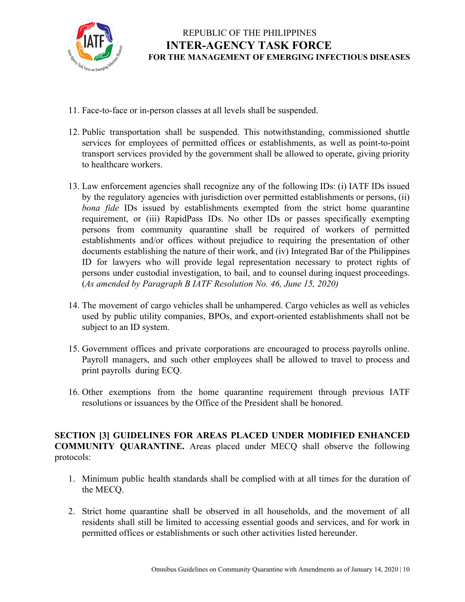

- 11. Face-to-face or in-person classes at all levels shall be suspended.
- 12. Public transportation shall be suspended. This notwithstanding, commissioned shuttle services for employees of permitted offices or establishments, as well as point-to-point transport services provided by the government shall be allowed to operate, giving priority to healthcare workers.
- 13. Law enforcement agencies shall recognize any of the following IDs: (i) IATF IDs issued by the regulatory agencies with jurisdiction over permitted establishments or persons, (ii) *bona fide* IDs issued by establishments exempted from the strict home quarantine requirement, or (iii) RapidPass IDs. No other IDs or passes specifically exempting persons from community quarantine shall be required of workers of permitted establishments and/or offices without prejudice to requiring the presentation of other documents establishing the nature of their work, and (iv) Integrated Bar of the Philippines ID for lawyers who will provide legal representation necessary to protect rights of persons under custodial investigation, to bail, and to counsel during inquest proceedings. (*As amended by Paragraph B IATF Resolution No. 46, June 15, 2020)*
- 14. The movement of cargo vehicles shall be unhampered. Cargo vehicles as well as vehicles used by public utility companies, BPOs, and export-oriented establishments shall not be subject to an ID system.
- 15. Government offices and private corporations are encouraged to process payrolls online. Payroll managers, and such other employees shall be allowed to travel to process and print payrolls during ECQ.
- 16. Other exemptions from the home quarantine requirement through previous IATF resolutions or issuances by the Office of the President shall be honored.

**SECTION [3] GUIDELINES FOR AREAS PLACED UNDER MODIFIED ENHANCED COMMUNITY QUARANTINE.** Areas placed under MECQ shall observe the following protocols:

- 1. Minimum public health standards shall be complied with at all times for the duration of the MECQ.
- 2. Strict home quarantine shall be observed in all households, and the movement of all residents shall still be limited to accessing essential goods and services, and for work in permitted offices or establishments or such other activities listed hereunder.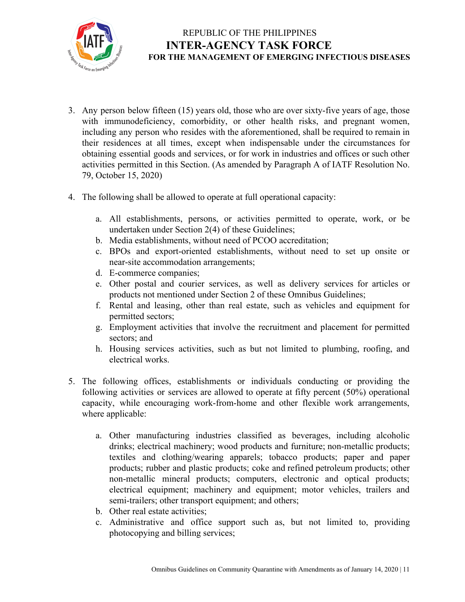

- 3. Any person below fifteen (15) years old, those who are over sixty-five years of age, those with immunodeficiency, comorbidity, or other health risks, and pregnant women, including any person who resides with the aforementioned, shall be required to remain in their residences at all times, except when indispensable under the circumstances for obtaining essential goods and services, or for work in industries and offices or such other activities permitted in this Section. (As amended by Paragraph A of IATF Resolution No. 79, October 15, 2020)
- 4. The following shall be allowed to operate at full operational capacity:
	- a. All establishments, persons, or activities permitted to operate, work, or be undertaken under Section 2(4) of these Guidelines;
	- b. Media establishments, without need of PCOO accreditation;
	- c. BPOs and export-oriented establishments, without need to set up onsite or near-site accommodation arrangements;
	- d. E-commerce companies;
	- e. Other postal and courier services, as well as delivery services for articles or products not mentioned under Section 2 of these Omnibus Guidelines;
	- f. Rental and leasing, other than real estate, such as vehicles and equipment for permitted sectors;
	- g. Employment activities that involve the recruitment and placement for permitted sectors; and
	- h. Housing services activities, such as but not limited to plumbing, roofing, and electrical works.
- 5. The following offices, establishments or individuals conducting or providing the following activities or services are allowed to operate at fifty percent (50%) operational capacity, while encouraging work-from-home and other flexible work arrangements, where applicable:
	- a. Other manufacturing industries classified as beverages, including alcoholic drinks; electrical machinery; wood products and furniture; non-metallic products; textiles and clothing/wearing apparels; tobacco products; paper and paper products; rubber and plastic products; coke and refined petroleum products; other non-metallic mineral products; computers, electronic and optical products; electrical equipment; machinery and equipment; motor vehicles, trailers and semi-trailers; other transport equipment; and others;
	- b. Other real estate activities;
	- c. Administrative and office support such as, but not limited to, providing photocopying and billing services;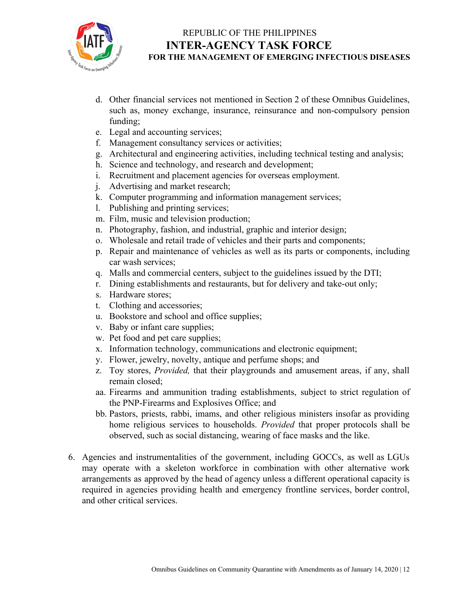

- d. Other financial services not mentioned in Section 2 of these Omnibus Guidelines, such as, money exchange, insurance, reinsurance and non-compulsory pension funding;
- e. Legal and accounting services;
- f. Management consultancy services or activities;
- g. Architectural and engineering activities, including technical testing and analysis;
- h. Science and technology, and research and development;
- i. Recruitment and placement agencies for overseas employment.
- j. Advertising and market research;
- k. Computer programming and information management services;
- l. Publishing and printing services;
- m. Film, music and television production;
- n. Photography, fashion, and industrial, graphic and interior design;
- o. Wholesale and retail trade of vehicles and their parts and components;
- p. Repair and maintenance of vehicles as well as its parts or components, including car wash services;
- q. Malls and commercial centers, subject to the guidelines issued by the DTI;
- r. Dining establishments and restaurants, but for delivery and take-out only;
- s. Hardware stores;
- t. Clothing and accessories;
- u. Bookstore and school and office supplies;
- v. Baby or infant care supplies;
- w. Pet food and pet care supplies;
- x. Information technology, communications and electronic equipment;
- y. Flower, jewelry, novelty, antique and perfume shops; and
- z. Toy stores, *Provided,* that their playgrounds and amusement areas, if any, shall remain closed;
- aa. Firearms and ammunition trading establishments, subject to strict regulation of the PNP-Firearms and Explosives Office; and
- bb. Pastors, priests, rabbi, imams, and other religious ministers insofar as providing home religious services to households. *Provided* that proper protocols shall be observed, such as social distancing, wearing of face masks and the like.
- 6. Agencies and instrumentalities of the government, including GOCCs, as well as LGUs may operate with a skeleton workforce in combination with other alternative work arrangements as approved by the head of agency unless a different operational capacity is required in agencies providing health and emergency frontline services, border control, and other critical services.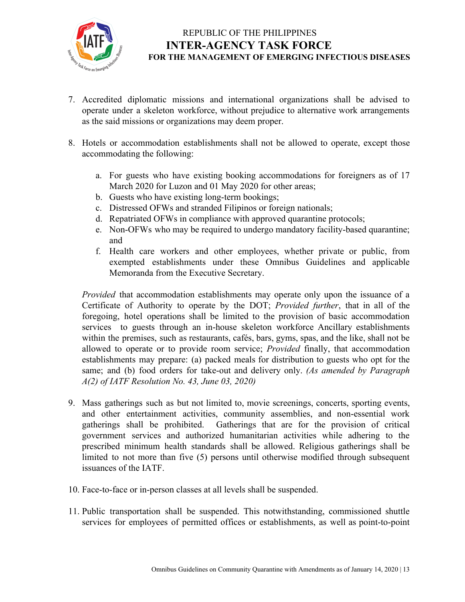

- 7. Accredited diplomatic missions and international organizations shall be advised to operate under a skeleton workforce, without prejudice to alternative work arrangements as the said missions or organizations may deem proper.
- 8. Hotels or accommodation establishments shall not be allowed to operate, except those accommodating the following:
	- a. For guests who have existing booking accommodations for foreigners as of 17 March 2020 for Luzon and 01 May 2020 for other areas;
	- b. Guests who have existing long-term bookings;
	- c. Distressed OFWs and stranded Filipinos or foreign nationals;
	- d. Repatriated OFWs in compliance with approved quarantine protocols;
	- e. Non-OFWs who may be required to undergo mandatory facility-based quarantine; and
	- f. Health care workers and other employees, whether private or public, from exempted establishments under these Omnibus Guidelines and applicable Memoranda from the Executive Secretary.

*Provided* that accommodation establishments may operate only upon the issuance of a Certificate of Authority to operate by the DOT; *Provided further*, that in all of the foregoing, hotel operations shall be limited to the provision of basic accommodation services to guests through an in-house skeleton workforce Ancillary establishments within the premises, such as restaurants, cafés, bars, gyms, spas, and the like, shall not be allowed to operate or to provide room service; *Provided* finally, that accommodation establishments may prepare: (a) packed meals for distribution to guests who opt for the same; and (b) food orders for take-out and delivery only. *(As amended by Paragraph A(2) of IATF Resolution No. 43, June 03, 2020)*

- 9. Mass gatherings such as but not limited to, movie screenings, concerts, sporting events, and other entertainment activities, community assemblies, and non-essential work gatherings shall be prohibited. Gatherings that are for the provision of critical government services and authorized humanitarian activities while adhering to the prescribed minimum health standards shall be allowed. Religious gatherings shall be limited to not more than five (5) persons until otherwise modified through subsequent issuances of the IATF.
- 10. Face-to-face or in-person classes at all levels shall be suspended.
- 11. Public transportation shall be suspended. This notwithstanding, commissioned shuttle services for employees of permitted offices or establishments, as well as point-to-point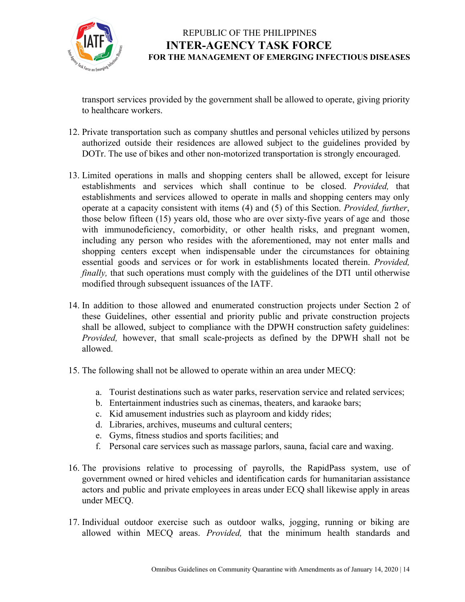

transport services provided by the government shall be allowed to operate, giving priority to healthcare workers.

- 12. Private transportation such as company shuttles and personal vehicles utilized by persons authorized outside their residences are allowed subject to the guidelines provided by DOTr. The use of bikes and other non-motorized transportation is strongly encouraged.
- 13. Limited operations in malls and shopping centers shall be allowed, except for leisure establishments and services which shall continue to be closed. *Provided,* that establishments and services allowed to operate in malls and shopping centers may only operate at a capacity consistent with items (4) and (5) of this Section. *Provided, further*, those below fifteen (15) years old, those who are over sixty-five years of age and those with immunodeficiency, comorbidity, or other health risks, and pregnant women, including any person who resides with the aforementioned, may not enter malls and shopping centers except when indispensable under the circumstances for obtaining essential goods and services or for work in establishments located therein. *Provided, finally*, that such operations must comply with the guidelines of the DTI until otherwise modified through subsequent issuances of the IATF.
- 14. In addition to those allowed and enumerated construction projects under Section 2 of these Guidelines, other essential and priority public and private construction projects shall be allowed, subject to compliance with the DPWH construction safety guidelines: *Provided,* however, that small scale-projects as defined by the DPWH shall not be allowed.
- 15. The following shall not be allowed to operate within an area under MECQ:
	- a. Tourist destinations such as water parks, reservation service and related services;
	- b. Entertainment industries such as cinemas, theaters, and karaoke bars;
	- c. Kid amusement industries such as playroom and kiddy rides;
	- d. Libraries, archives, museums and cultural centers;
	- e. Gyms, fitness studios and sports facilities; and
	- f. Personal care services such as massage parlors, sauna, facial care and waxing.
- 16. The provisions relative to processing of payrolls, the RapidPass system, use of government owned or hired vehicles and identification cards for humanitarian assistance actors and public and private employees in areas under ECQ shall likewise apply in areas under MECQ.
- 17. Individual outdoor exercise such as outdoor walks, jogging, running or biking are allowed within MECQ areas. *Provided,* that the minimum health standards and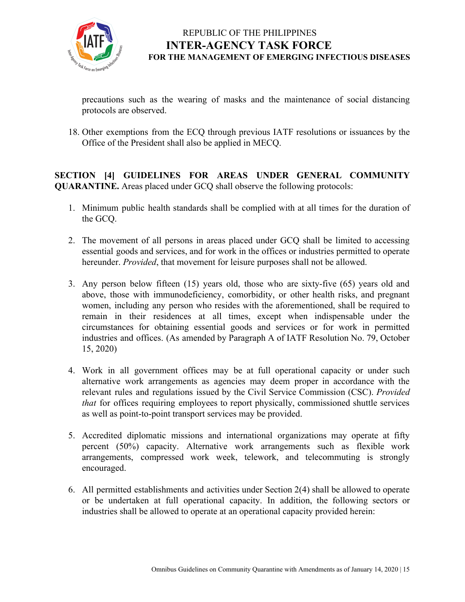

precautions such as the wearing of masks and the maintenance of social distancing protocols are observed.

18. Other exemptions from the ECQ through previous IATF resolutions or issuances by the Office of the President shall also be applied in MECQ.

**SECTION [4] GUIDELINES FOR AREAS UNDER GENERAL COMMUNITY QUARANTINE.** Areas placed under GCQ shall observe the following protocols:

- 1. Minimum public health standards shall be complied with at all times for the duration of the GCQ.
- 2. The movement of all persons in areas placed under GCQ shall be limited to accessing essential goods and services, and for work in the offices or industries permitted to operate hereunder. *Provided*, that movement for leisure purposes shall not be allowed.
- 3. Any person below fifteen (15) years old, those who are sixty-five (65) years old and above, those with immunodeficiency, comorbidity, or other health risks, and pregnant women, including any person who resides with the aforementioned, shall be required to remain in their residences at all times, except when indispensable under the circumstances for obtaining essential goods and services or for work in permitted industries and offices. (As amended by Paragraph A of IATF Resolution No. 79, October 15, 2020)
- 4. Work in all government offices may be at full operational capacity or under such alternative work arrangements as agencies may deem proper in accordance with the relevant rules and regulations issued by the Civil Service Commission (CSC). *Provided that* for offices requiring employees to report physically, commissioned shuttle services as well as point-to-point transport services may be provided.
- 5. Accredited diplomatic missions and international organizations may operate at fifty percent (50%) capacity. Alternative work arrangements such as flexible work arrangements, compressed work week, telework, and telecommuting is strongly encouraged.
- 6. All permitted establishments and activities under Section 2(4) shall be allowed to operate or be undertaken at full operational capacity. In addition, the following sectors or industries shall be allowed to operate at an operational capacity provided herein: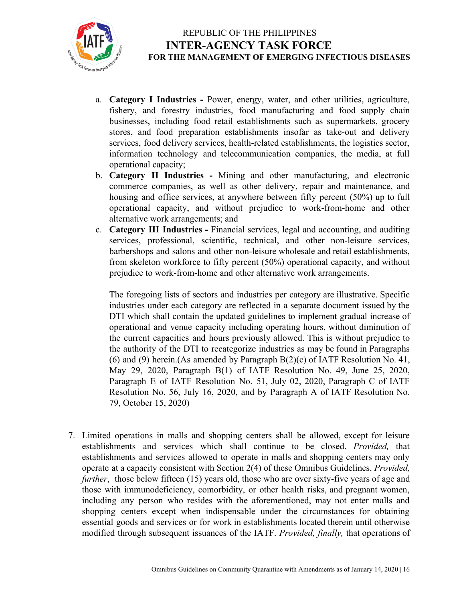

- a. **Category I Industries -** Power, energy, water, and other utilities, agriculture, fishery, and forestry industries, food manufacturing and food supply chain businesses, including food retail establishments such as supermarkets, grocery stores, and food preparation establishments insofar as take-out and delivery services, food delivery services, health-related establishments, the logistics sector, information technology and telecommunication companies, the media, at full operational capacity;
- b. **Category II Industries -** Mining and other manufacturing, and electronic commerce companies, as well as other delivery, repair and maintenance, and housing and office services, at anywhere between fifty percent (50%) up to full operational capacity, and without prejudice to work-from-home and other alternative work arrangements; and
- c. **Category III Industries -** Financial services, legal and accounting, and auditing services, professional, scientific, technical, and other non-leisure services, barbershops and salons and other non-leisure wholesale and retail establishments, from skeleton workforce to fifty percent (50%) operational capacity, and without prejudice to work-from-home and other alternative work arrangements.

The foregoing lists of sectors and industries per category are illustrative. Specific industries under each category are reflected in a separate document issued by the DTI which shall contain the updated guidelines to implement gradual increase of operational and venue capacity including operating hours, without diminution of the current capacities and hours previously allowed. This is without prejudice to the authority of the DTI to recategorize industries as may be found in Paragraphs (6) and (9) herein.(As amended by Paragraph B(2)(c) of IATF Resolution No. 41, May 29, 2020, Paragraph B(1) of IATF Resolution No. 49, June 25, 2020, Paragraph E of IATF Resolution No. 51, July 02, 2020, Paragraph C of IATF Resolution No. 56, July 16, 2020, and by Paragraph A of IATF Resolution No. 79, October 15, 2020)

7. Limited operations in malls and shopping centers shall be allowed, except for leisure establishments and services which shall continue to be closed. *Provided,* that establishments and services allowed to operate in malls and shopping centers may only operate at a capacity consistent with Section 2(4) of these Omnibus Guidelines. *Provided, further*, those below fifteen (15) years old, those who are over sixty-five years of age and those with immunodeficiency, comorbidity, or other health risks, and pregnant women, including any person who resides with the aforementioned, may not enter malls and shopping centers except when indispensable under the circumstances for obtaining essential goods and services or for work in establishments located therein until otherwise modified through subsequent issuances of the IATF. *Provided, finally,* that operations of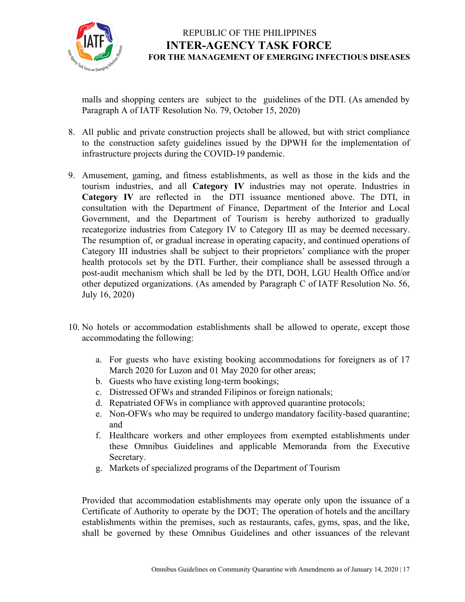

malls and shopping centers are subject to the guidelines of the DTI. (As amended by Paragraph A of IATF Resolution No. 79, October 15, 2020)

- 8. All public and private construction projects shall be allowed, but with strict compliance to the construction safety guidelines issued by the DPWH for the implementation of infrastructure projects during the COVID-19 pandemic.
- 9. Amusement, gaming, and fitness establishments, as well as those in the kids and the tourism industries, and all **Category IV** industries may not operate. Industries in **Category IV** are reflected in the DTI issuance mentioned above. The DTI, in consultation with the Department of Finance, Department of the Interior and Local Government, and the Department of Tourism is hereby authorized to gradually recategorize industries from Category IV to Category III as may be deemed necessary. The resumption of, or gradual increase in operating capacity, and continued operations of Category III industries shall be subject to their proprietors' compliance with the proper health protocols set by the DTI. Further, their compliance shall be assessed through a post-audit mechanism which shall be led by the DTI, DOH, LGU Health Office and/or other deputized organizations. (As amended by Paragraph C of IATF Resolution No. 56, July 16, 2020)
- 10. No hotels or accommodation establishments shall be allowed to operate, except those accommodating the following:
	- a. For guests who have existing booking accommodations for foreigners as of 17 March 2020 for Luzon and 01 May 2020 for other areas;
	- b. Guests who have existing long-term bookings;
	- c. Distressed OFWs and stranded Filipinos or foreign nationals;
	- d. Repatriated OFWs in compliance with approved quarantine protocols;
	- e. Non-OFWs who may be required to undergo mandatory facility-based quarantine; and
	- f. Healthcare workers and other employees from exempted establishments under these Omnibus Guidelines and applicable Memoranda from the Executive Secretary.
	- g. Markets of specialized programs of the Department of Tourism

Provided that accommodation establishments may operate only upon the issuance of a Certificate of Authority to operate by the DOT; The operation of hotels and the ancillary establishments within the premises, such as restaurants, cafes, gyms, spas, and the like, shall be governed by these Omnibus Guidelines and other issuances of the relevant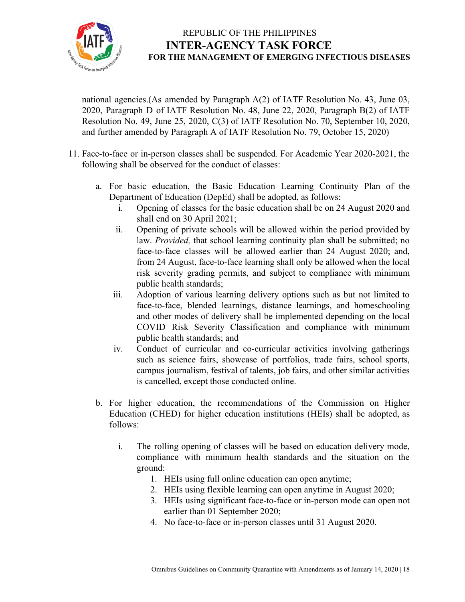

national agencies.(As amended by Paragraph A(2) of IATF Resolution No. 43, June 03, 2020, Paragraph D of IATF Resolution No. 48, June 22, 2020, Paragraph B(2) of IATF Resolution No. 49, June 25, 2020, C(3) of IATF Resolution No. 70, September 10, 2020, and further amended by Paragraph A of IATF Resolution No. 79, October 15, 2020)

- 11. Face-to-face or in-person classes shall be suspended. For Academic Year 2020-2021, the following shall be observed for the conduct of classes:
	- a. For basic education, the Basic Education Learning Continuity Plan of the Department of Education (DepEd) shall be adopted, as follows:
		- i. Opening of classes for the basic education shall be on 24 August 2020 and shall end on 30 April 2021;
		- ii. Opening of private schools will be allowed within the period provided by law. *Provided,* that school learning continuity plan shall be submitted; no face-to-face classes will be allowed earlier than 24 August 2020; and, from 24 August, face-to-face learning shall only be allowed when the local risk severity grading permits, and subject to compliance with minimum public health standards;
		- iii. Adoption of various learning delivery options such as but not limited to face-to-face, blended learnings, distance learnings, and homeschooling and other modes of delivery shall be implemented depending on the local COVID Risk Severity Classification and compliance with minimum public health standards; and
		- iv. Conduct of curricular and co-curricular activities involving gatherings such as science fairs, showcase of portfolios, trade fairs, school sports, campus journalism, festival of talents, job fairs, and other similar activities is cancelled, except those conducted online.
	- b. For higher education, the recommendations of the Commission on Higher Education (CHED) for higher education institutions (HEIs) shall be adopted, as follows:
		- i. The rolling opening of classes will be based on education delivery mode, compliance with minimum health standards and the situation on the ground:
			- 1. HEIs using full online education can open anytime;
			- 2. HEIs using flexible learning can open anytime in August 2020;
			- 3. HEIs using significant face-to-face or in-person mode can open not earlier than 01 September 2020;
			- 4. No face-to-face or in-person classes until 31 August 2020.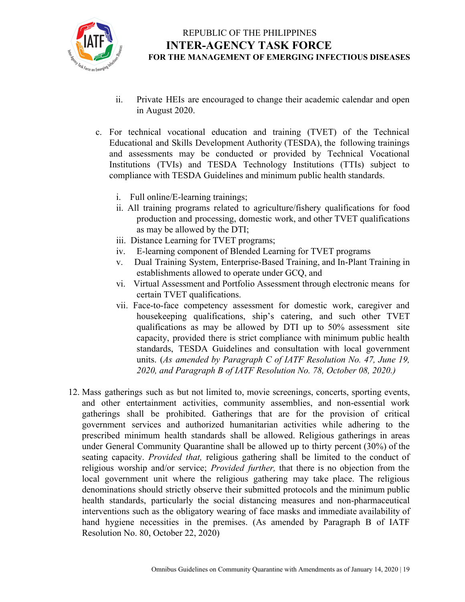

- ii. Private HEIs are encouraged to change their academic calendar and open in August 2020.
- c. For technical vocational education and training (TVET) of the Technical Educational and Skills Development Authority (TESDA), the following trainings and assessments may be conducted or provided by Technical Vocational Institutions (TVIs) and TESDA Technology Institutions (TTIs) subject to compliance with TESDA Guidelines and minimum public health standards.
	- i. Full online/E-learning trainings;
	- ii. All training programs related to agriculture/fishery qualifications for food production and processing, domestic work, and other TVET qualifications as may be allowed by the DTI;
	- iii. Distance Learning for TVET programs;
	- iv. E-learning component of Blended Learning for TVET programs
	- v. Dual Training System, Enterprise-Based Training, and In-Plant Training in establishments allowed to operate under GCQ, and
	- vi. Virtual Assessment and Portfolio Assessment through electronic means for certain TVET qualifications.
	- vii. Face-to-face competency assessment for domestic work, caregiver and housekeeping qualifications, ship's catering, and such other TVET qualifications as may be allowed by DTI up to 50% assessment site capacity, provided there is strict compliance with minimum public health standards, TESDA Guidelines and consultation with local government units. (*As amended by Paragraph C of IATF Resolution No. 47, June 19, 2020, and Paragraph B of IATF Resolution No. 78, October 08, 2020.)*
- 12. Mass gatherings such as but not limited to, movie screenings, concerts, sporting events, and other entertainment activities, community assemblies, and non-essential work gatherings shall be prohibited. Gatherings that are for the provision of critical government services and authorized humanitarian activities while adhering to the prescribed minimum health standards shall be allowed. Religious gatherings in areas under General Community Quarantine shall be allowed up to thirty percent (30%) of the seating capacity. *Provided that,* religious gathering shall be limited to the conduct of religious worship and/or service; *Provided further,* that there is no objection from the local government unit where the religious gathering may take place. The religious denominations should strictly observe their submitted protocols and the minimum public health standards, particularly the social distancing measures and non-pharmaceutical interventions such as the obligatory wearing of face masks and immediate availability of hand hygiene necessities in the premises. (As amended by Paragraph B of IATF Resolution No. 80, October 22, 2020)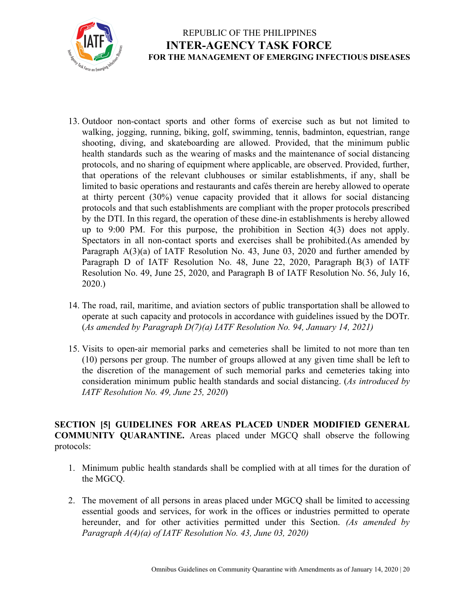

- 13. Outdoor non-contact sports and other forms of exercise such as but not limited to walking, jogging, running, biking, golf, swimming, tennis, badminton, equestrian, range shooting, diving, and skateboarding are allowed. Provided, that the minimum public health standards such as the wearing of masks and the maintenance of social distancing protocols, and no sharing of equipment where applicable, are observed. Provided, further, that operations of the relevant clubhouses or similar establishments, if any, shall be limited to basic operations and restaurants and cafés therein are hereby allowed to operate at thirty percent (30%) venue capacity provided that it allows for social distancing protocols and that such establishments are compliant with the proper protocols prescribed by the DTI. In this regard, the operation of these dine-in establishments is hereby allowed up to 9:00 PM. For this purpose, the prohibition in Section 4(3) does not apply. Spectators in all non-contact sports and exercises shall be prohibited.(As amended by Paragraph A(3)(a) of IATF Resolution No. 43, June 03, 2020 and further amended by Paragraph D of IATF Resolution No. 48, June 22, 2020, Paragraph B(3) of IATF Resolution No. 49, June 25, 2020, and Paragraph B of IATF Resolution No. 56, July 16, 2020.)
- 14. The road, rail, maritime, and aviation sectors of public transportation shall be allowed to operate at such capacity and protocols in accordance with guidelines issued by the DOTr. (*As amended by Paragraph D(7)(a) IATF Resolution No. 94, January 14, 2021)*
- 15. Visits to open-air memorial parks and cemeteries shall be limited to not more than ten (10) persons per group. The number of groups allowed at any given time shall be left to the discretion of the management of such memorial parks and cemeteries taking into consideration minimum public health standards and social distancing. (*As introduced by IATF Resolution No. 49, June 25, 2020*)

#### **SECTION [5] GUIDELINES FOR AREAS PLACED UNDER MODIFIED GENERAL COMMUNITY QUARANTINE.** Areas placed under MGCQ shall observe the following protocols:

- 1. Minimum public health standards shall be complied with at all times for the duration of the MGCQ.
- 2. The movement of all persons in areas placed under MGCQ shall be limited to accessing essential goods and services, for work in the offices or industries permitted to operate hereunder, and for other activities permitted under this Section. *(As amended by Paragraph A(4)(a) of IATF Resolution No. 43, June 03, 2020)*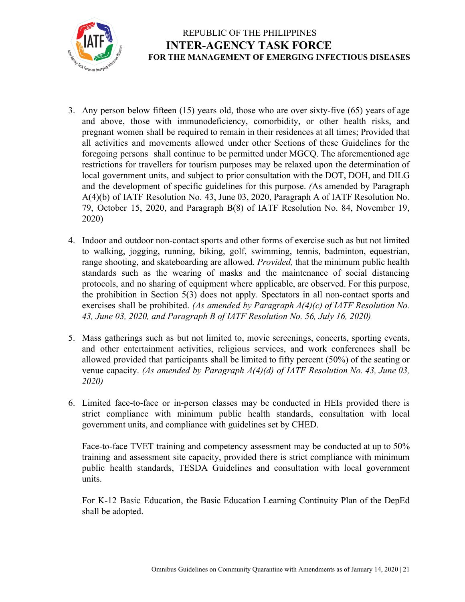

- 3. Any person below fifteen (15) years old, those who are over sixty-five (65) years of age and above, those with immunodeficiency, comorbidity, or other health risks, and pregnant women shall be required to remain in their residences at all times; Provided that all activities and movements allowed under other Sections of these Guidelines for the foregoing persons shall continue to be permitted under MGCQ. The aforementioned age restrictions for travellers for tourism purposes may be relaxed upon the determination of local government units, and subject to prior consultation with the DOT, DOH, and DILG and the development of specific guidelines for this purpose. *(*As amended by Paragraph A(4)(b) of IATF Resolution No. 43, June 03, 2020, Paragraph A of IATF Resolution No. 79, October 15, 2020, and Paragraph B(8) of IATF Resolution No. 84, November 19, 2020)
- 4. Indoor and outdoor non-contact sports and other forms of exercise such as but not limited to walking, jogging, running, biking, golf, swimming, tennis, badminton, equestrian, range shooting, and skateboarding are allowed. *Provided,* that the minimum public health standards such as the wearing of masks and the maintenance of social distancing protocols, and no sharing of equipment where applicable, are observed. For this purpose, the prohibition in Section 5(3) does not apply. Spectators in all non-contact sports and exercises shall be prohibited. *(As amended by Paragraph A(4)(c) of IATF Resolution No. 43, June 03, 2020, and Paragraph B of IATF Resolution No. 56, July 16, 2020)*
- 5. Mass gatherings such as but not limited to, movie screenings, concerts, sporting events, and other entertainment activities, religious services, and work conferences shall be allowed provided that participants shall be limited to fifty percent (50%) of the seating or venue capacity. *(As amended by Paragraph A(4)(d) of IATF Resolution No. 43, June 03, 2020)*
- 6. Limited face-to-face or in-person classes may be conducted in HEIs provided there is strict compliance with minimum public health standards, consultation with local government units, and compliance with guidelines set by CHED.

Face-to-face TVET training and competency assessment may be conducted at up to 50% training and assessment site capacity, provided there is strict compliance with minimum public health standards, TESDA Guidelines and consultation with local government units.

For K-12 Basic Education, the Basic Education Learning Continuity Plan of the DepEd shall be adopted.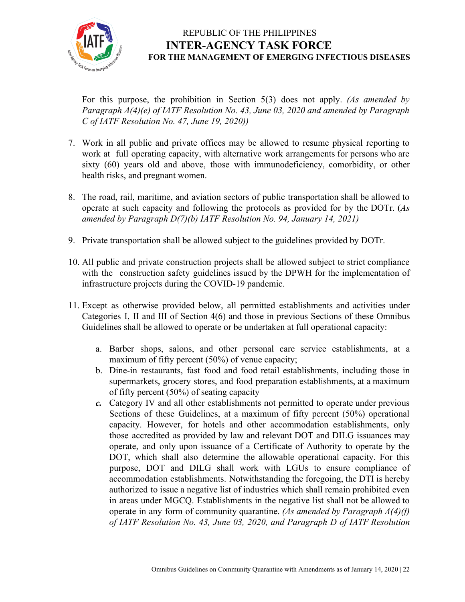

For this purpose, the prohibition in Section 5(3) does not apply. *(As amended by Paragraph A(4)(e) of IATF Resolution No. 43, June 03, 2020 and amended by Paragraph C of IATF Resolution No. 47, June 19, 2020))*

- 7. Work in all public and private offices may be allowed to resume physical reporting to work at full operating capacity, with alternative work arrangements for persons who are sixty (60) years old and above, those with immunodeficiency, comorbidity, or other health risks, and pregnant women.
- 8. The road, rail, maritime, and aviation sectors of public transportation shall be allowed to operate at such capacity and following the protocols as provided for by the DOTr. (*As amended by Paragraph D(7)(b) IATF Resolution No. 94, January 14, 2021)*
- 9. Private transportation shall be allowed subject to the guidelines provided by DOTr.
- 10. All public and private construction projects shall be allowed subject to strict compliance with the construction safety guidelines issued by the DPWH for the implementation of infrastructure projects during the COVID-19 pandemic.
- 11. Except as otherwise provided below, all permitted establishments and activities under Categories I, II and III of Section 4(6) and those in previous Sections of these Omnibus Guidelines shall be allowed to operate or be undertaken at full operational capacity:
	- a. Barber shops, salons, and other personal care service establishments, at a maximum of fifty percent (50%) of venue capacity;
	- b. Dine-in restaurants, fast food and food retail establishments, including those in supermarkets, grocery stores, and food preparation establishments, at a maximum of fifty percent (50%) of seating capacity
	- *c.* Category IV and all other establishments not permitted to operate under previous Sections of these Guidelines, at a maximum of fifty percent (50%) operational capacity. However, for hotels and other accommodation establishments, only those accredited as provided by law and relevant DOT and DILG issuances may operate, and only upon issuance of a Certificate of Authority to operate by the DOT, which shall also determine the allowable operational capacity. For this purpose, DOT and DILG shall work with LGUs to ensure compliance of accommodation establishments. Notwithstanding the foregoing, the DTI is hereby authorized to issue a negative list of industries which shall remain prohibited even in areas under MGCQ. Establishments in the negative list shall not be allowed to operate in any form of community quarantine. *(As amended by Paragraph A(4)(f) of IATF Resolution No. 43, June 03, 2020, and Paragraph D of IATF Resolution*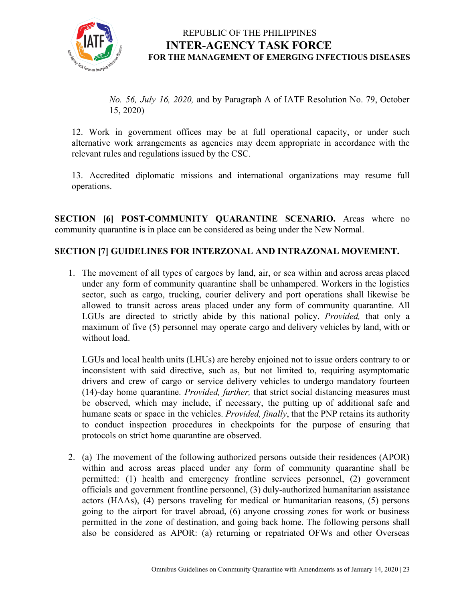

*No. 56, July 16, 2020,* and by Paragraph A of IATF Resolution No. 79, October 15, 2020)

12. Work in government offices may be at full operational capacity, or under such alternative work arrangements as agencies may deem appropriate in accordance with the relevant rules and regulations issued by the CSC.

13. Accredited diplomatic missions and international organizations may resume full operations.

**SECTION [6] POST-COMMUNITY QUARANTINE SCENARIO.** Areas where no community quarantine is in place can be considered as being under the New Normal.

#### **SECTION [7] GUIDELINES FOR INTERZONAL AND INTRAZONAL MOVEMENT.**

1. The movement of all types of cargoes by land, air, or sea within and across areas placed under any form of community quarantine shall be unhampered. Workers in the logistics sector, such as cargo, trucking, courier delivery and port operations shall likewise be allowed to transit across areas placed under any form of community quarantine. All LGUs are directed to strictly abide by this national policy. *Provided,* that only a maximum of five (5) personnel may operate cargo and delivery vehicles by land, with or without load.

LGUs and local health units (LHUs) are hereby enjoined not to issue orders contrary to or inconsistent with said directive, such as, but not limited to, requiring asymptomatic drivers and crew of cargo or service delivery vehicles to undergo mandatory fourteen (14)-day home quarantine. *Provided, further,* that strict social distancing measures must be observed, which may include, if necessary, the putting up of additional safe and humane seats or space in the vehicles. *Provided, finally*, that the PNP retains its authority to conduct inspection procedures in checkpoints for the purpose of ensuring that protocols on strict home quarantine are observed.

2. (a) The movement of the following authorized persons outside their residences (APOR) within and across areas placed under any form of community quarantine shall be permitted: (1) health and emergency frontline services personnel, (2) government officials and government frontline personnel, (3) duly-authorized humanitarian assistance actors (HAAs), (4) persons traveling for medical or humanitarian reasons, (5) persons going to the airport for travel abroad, (6) anyone crossing zones for work or business permitted in the zone of destination, and going back home. The following persons shall also be considered as APOR: (a) returning or repatriated OFWs and other Overseas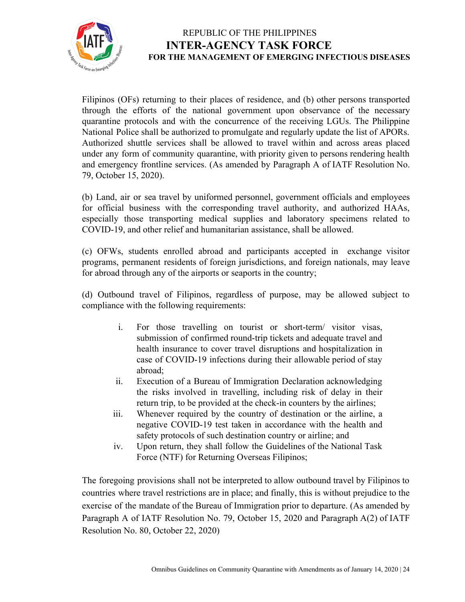

Filipinos (OFs) returning to their places of residence, and (b) other persons transported through the efforts of the national government upon observance of the necessary quarantine protocols and with the concurrence of the receiving LGUs. The Philippine National Police shall be authorized to promulgate and regularly update the list of APORs. Authorized shuttle services shall be allowed to travel within and across areas placed under any form of community quarantine, with priority given to persons rendering health and emergency frontline services. (As amended by Paragraph A of IATF Resolution No. 79, October 15, 2020).

(b) Land, air or sea travel by uniformed personnel, government officials and employees for official business with the corresponding travel authority, and authorized HAAs, especially those transporting medical supplies and laboratory specimens related to COVID-19, and other relief and humanitarian assistance, shall be allowed.

(c) OFWs, students enrolled abroad and participants accepted in exchange visitor programs, permanent residents of foreign jurisdictions, and foreign nationals, may leave for abroad through any of the airports or seaports in the country;

(d) Outbound travel of Filipinos, regardless of purpose, may be allowed subject to compliance with the following requirements:

- i. For those travelling on tourist or short-term/ visitor visas, submission of confirmed round-trip tickets and adequate travel and health insurance to cover travel disruptions and hospitalization in case of COVID-19 infections during their allowable period of stay abroad;
- ii. Execution of a Bureau of Immigration Declaration acknowledging the risks involved in travelling, including risk of delay in their return trip, to be provided at the check-in counters by the airlines;
- iii. Whenever required by the country of destination or the airline, a negative COVID-19 test taken in accordance with the health and safety protocols of such destination country or airline; and
- iv. Upon return, they shall follow the Guidelines of the National Task Force (NTF) for Returning Overseas Filipinos;

The foregoing provisions shall not be interpreted to allow outbound travel by Filipinos to countries where travel restrictions are in place; and finally, this is without prejudice to the exercise of the mandate of the Bureau of Immigration prior to departure. (As amended by Paragraph A of IATF Resolution No. 79, October 15, 2020 and Paragraph A(2) of IATF Resolution No. 80, October 22, 2020)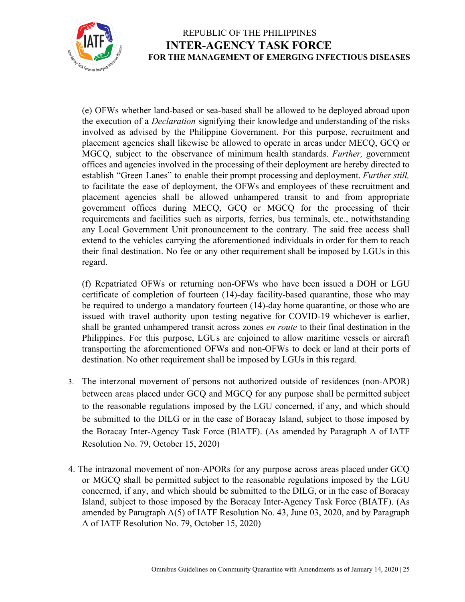

(e) OFWs whether land-based or sea-based shall be allowed to be deployed abroad upon the execution of a *Declaration* signifying their knowledge and understanding of the risks involved as advised by the Philippine Government. For this purpose, recruitment and placement agencies shall likewise be allowed to operate in areas under MECQ, GCQ or MGCQ, subject to the observance of minimum health standards. *Further,* government offices and agencies involved in the processing of their deployment are hereby directed to establish "Green Lanes" to enable their prompt processing and deployment. *Further still,* to facilitate the ease of deployment, the OFWs and employees of these recruitment and placement agencies shall be allowed unhampered transit to and from appropriate government offices during MECQ, GCQ or MGCQ for the processing of their requirements and facilities such as airports, ferries, bus terminals, etc., notwithstanding any Local Government Unit pronouncement to the contrary. The said free access shall extend to the vehicles carrying the aforementioned individuals in order for them to reach their final destination. No fee or any other requirement shall be imposed by LGUs in this regard.

(f) Repatriated OFWs or returning non-OFWs who have been issued a DOH or LGU certificate of completion of fourteen (14)-day facility-based quarantine, those who may be required to undergo a mandatory fourteen (14)-day home quarantine, or those who are issued with travel authority upon testing negative for COVID-19 whichever is earlier, shall be granted unhampered transit across zones *en route* to their final destination in the Philippines. For this purpose, LGUs are enjoined to allow maritime vessels or aircraft transporting the aforementioned OFWs and non-OFWs to dock or land at their ports of destination. No other requirement shall be imposed by LGUs in this regard.

- 3. The interzonal movement of persons not authorized outside of residences (non-APOR) between areas placed under GCQ and MGCQ for any purpose shall be permitted subject to the reasonable regulations imposed by the LGU concerned, if any, and which should be submitted to the DILG or in the case of Boracay Island, subject to those imposed by the Boracay Inter-Agency Task Force (BIATF). (As amended by Paragraph A of IATF Resolution No. 79, October 15, 2020)
- 4. The intrazonal movement of non-APORs for any purpose across areas placed under GCQ or MGCQ shall be permitted subject to the reasonable regulations imposed by the LGU concerned, if any, and which should be submitted to the DILG, or in the case of Boracay Island, subject to those imposed by the Boracay Inter-Agency Task Force (BIATF). (As amended by Paragraph A(5) of IATF Resolution No. 43, June 03, 2020, and by Paragraph A of IATF Resolution No. 79, October 15, 2020)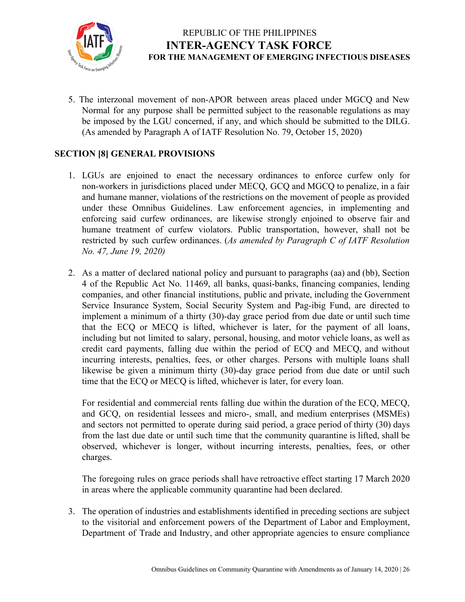

5. The interzonal movement of non-APOR between areas placed under MGCQ and New Normal for any purpose shall be permitted subject to the reasonable regulations as may be imposed by the LGU concerned, if any, and which should be submitted to the DILG. (As amended by Paragraph A of IATF Resolution No. 79, October 15, 2020)

#### **SECTION [8] GENERAL PROVISIONS**

- 1. LGUs are enjoined to enact the necessary ordinances to enforce curfew only for non-workers in jurisdictions placed under MECQ, GCQ and MGCQ to penalize, in a fair and humane manner, violations of the restrictions on the movement of people as provided under these Omnibus Guidelines. Law enforcement agencies, in implementing and enforcing said curfew ordinances, are likewise strongly enjoined to observe fair and humane treatment of curfew violators. Public transportation, however, shall not be restricted by such curfew ordinances. (*As amended by Paragraph C of IATF Resolution No. 47, June 19, 2020)*
- 2. As a matter of declared national policy and pursuant to paragraphs (aa) and (bb), Section 4 of the Republic Act No. 11469, all banks, quasi-banks, financing companies, lending companies, and other financial institutions, public and private, including the Government Service Insurance System, Social Security System and Pag-ibig Fund, are directed to implement a minimum of a thirty (30)-day grace period from due date or until such time that the ECQ or MECQ is lifted, whichever is later, for the payment of all loans, including but not limited to salary, personal, housing, and motor vehicle loans, as well as credit card payments, falling due within the period of ECQ and MECQ, and without incurring interests, penalties, fees, or other charges. Persons with multiple loans shall likewise be given a minimum thirty (30)-day grace period from due date or until such time that the ECQ or MECQ is lifted, whichever is later, for every loan.

For residential and commercial rents falling due within the duration of the ECQ, MECQ, and GCQ, on residential lessees and micro-, small, and medium enterprises (MSMEs) and sectors not permitted to operate during said period, a grace period of thirty (30) days from the last due date or until such time that the community quarantine is lifted, shall be observed, whichever is longer, without incurring interests, penalties, fees, or other charges.

The foregoing rules on grace periods shall have retroactive effect starting 17 March 2020 in areas where the applicable community quarantine had been declared.

3. The operation of industries and establishments identified in preceding sections are subject to the visitorial and enforcement powers of the Department of Labor and Employment, Department of Trade and Industry, and other appropriate agencies to ensure compliance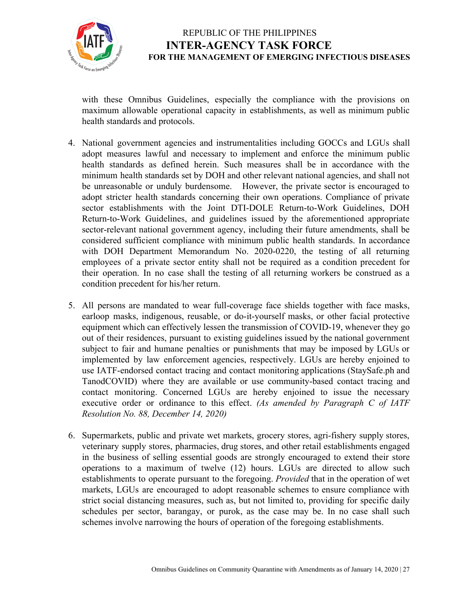

with these Omnibus Guidelines, especially the compliance with the provisions on maximum allowable operational capacity in establishments, as well as minimum public health standards and protocols.

- 4. National government agencies and instrumentalities including GOCCs and LGUs shall adopt measures lawful and necessary to implement and enforce the minimum public health standards as defined herein. Such measures shall be in accordance with the minimum health standards set by DOH and other relevant national agencies, and shall not be unreasonable or unduly burdensome. However, the private sector is encouraged to adopt stricter health standards concerning their own operations. Compliance of private sector establishments with the Joint DTI-DOLE Return-to-Work Guidelines, DOH Return-to-Work Guidelines, and guidelines issued by the aforementioned appropriate sector-relevant national government agency, including their future amendments, shall be considered sufficient compliance with minimum public health standards. In accordance with DOH Department Memorandum No. 2020-0220, the testing of all returning employees of a private sector entity shall not be required as a condition precedent for their operation. In no case shall the testing of all returning workers be construed as a condition precedent for his/her return.
- 5. All persons are mandated to wear full-coverage face shields together with face masks, earloop masks, indigenous, reusable, or do-it-yourself masks, or other facial protective equipment which can effectively lessen the transmission of COVID-19, whenever they go out of their residences, pursuant to existing guidelines issued by the national government subject to fair and humane penalties or punishments that may be imposed by LGUs or implemented by law enforcement agencies, respectively. LGUs are hereby enjoined to use IATF-endorsed contact tracing and contact monitoring applications (StaySafe.ph and TanodCOVID) where they are available or use community-based contact tracing and contact monitoring. Concerned LGUs are hereby enjoined to issue the necessary executive order or ordinance to this effect. *(As amended by Paragraph C of IATF Resolution No. 88, December 14, 2020)*
- 6. Supermarkets, public and private wet markets, grocery stores, agri-fishery supply stores, veterinary supply stores, pharmacies, drug stores, and other retail establishments engaged in the business of selling essential goods are strongly encouraged to extend their store operations to a maximum of twelve (12) hours. LGUs are directed to allow such establishments to operate pursuant to the foregoing. *Provided* that in the operation of wet markets, LGUs are encouraged to adopt reasonable schemes to ensure compliance with strict social distancing measures, such as, but not limited to, providing for specific daily schedules per sector, barangay, or purok, as the case may be. In no case shall such schemes involve narrowing the hours of operation of the foregoing establishments.